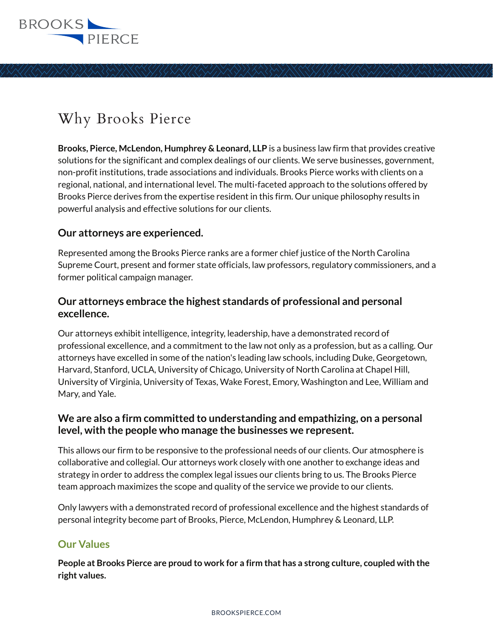

# Why Brooks Pierce

**Brooks, Pierce, McLendon, Humphrey & Leonard, LLP** is a business law firm that provides creative solutions for the significant and complex dealings of our clients. We serve businesses, government, non-profit institutions, trade associations and individuals. Brooks Pierce works with clients on a regional, national, and international level. The multi-faceted approach to the solutions offered by Brooks Pierce derives from the expertise resident in this firm. Our unique philosophy results in powerful analysis and effective solutions for our clients.

#### **Our attorneys are experienced.**

Represented among the Brooks Pierce ranks are a former chief justice of the North Carolina Supreme Court, present and former state officials, law professors, regulatory commissioners, and a former political campaign manager.

## **Our attorneys embrace the highest standards of professional and personal excellence.**

Our attorneys exhibit intelligence, integrity, leadership, have a demonstrated record of professional excellence, and a commitment to the law not only as a profession, but as a calling. Our attorneys have excelled in some of the nation's leading law schools, including Duke, Georgetown, Harvard, Stanford, UCLA, University of Chicago, University of North Carolina at Chapel Hill, University of Virginia, University of Texas, Wake Forest, Emory, Washington and Lee, William and Mary, and Yale.

## **We are also a firm committed to understanding and empathizing, on a personal level, with the people who manage the businesses we represent.**

This allows our firm to be responsive to the professional needs of our clients. Our atmosphere is collaborative and collegial. Our attorneys work closely with one another to exchange ideas and strategy in order to address the complex legal issues our clients bring to us. The Brooks Pierce team approach maximizes the scope and quality of the service we provide to our clients.

Only lawyers with a demonstrated record of professional excellence and the highest standards of personal integrity become part of Brooks, Pierce, McLendon, Humphrey & Leonard, LLP.

## **Our Values**

**People at Brooks Pierce are proud to work for a firm that has a strong culture, coupled with the right values.**